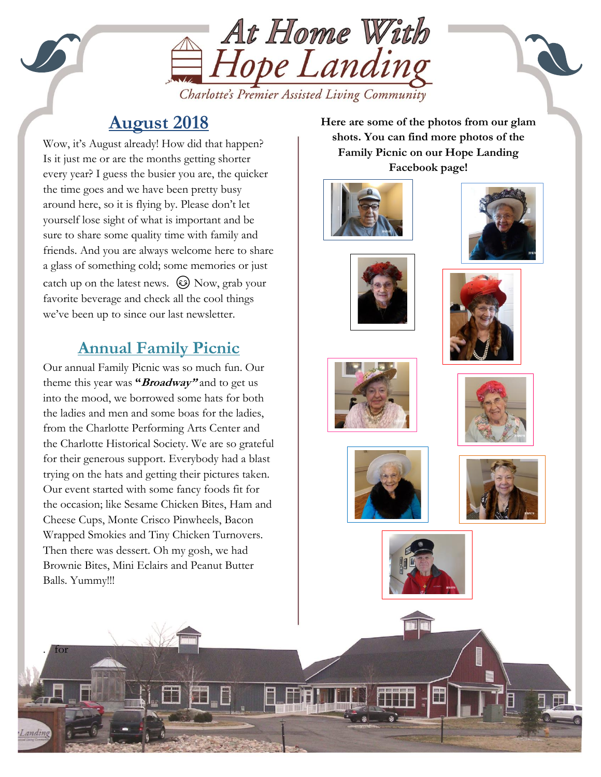

# **August 2018**

sure to snare some quanty time with ramily and<br>friends. And you are always welcome here to share Wow, it's August already! How did that happen? Is it just me or are the months getting shorter every year? I guess the busier you are, the quicker the time goes and we have been pretty busy around here, so it is flying by. Please don't let yourself lose sight of what is important and be sure to share some quality time with family and a glass of something cold; some memories or just catch up on the latest news.  $\circled{c}$  Now, grab your favorite beverage and check all the cool things we've been up to since our last newsletter.

## **Annual Family Picnic**

Our annual Family Picnic was so much fun. Our theme this year was **"Broadway"** and to get us into the mood, we borrowed some hats for both the ladies and men and some boas for the ladies, from the Charlotte Performing Arts Center and the Charlotte Historical Society. We are so grateful for their generous support. Everybody had a blast trying on the hats and getting their pictures taken. Our event started with some fancy foods fit for the occasion; like Sesame Chicken Bites, Ham and Cheese Cups, Monte Crisco Pinwheels, Bacon Wrapped Smokies and Tiny Chicken Turnovers. Then there was dessert. Oh my gosh, we had Brownie Bites, Mini Eclairs and Peanut Butter Balls. Yummy!!!

. for

**Here are some of the photos from our glam shots. You can find more photos of the Family Picnic on our Hope Landing Facebook page!**